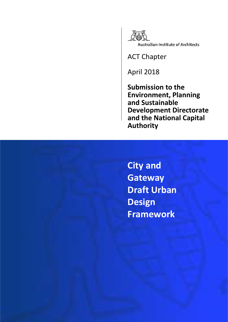

ACT Chapter

April 2018

**Submission to the Environment, Planning and Sustainable Development Directorate and the National Capital Authority**

**City and Gateway Draft Urban Design Framework**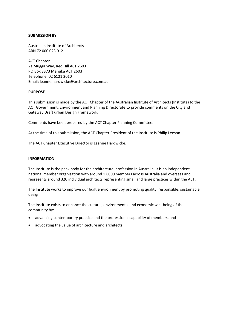#### **SUBMISSION BY**

Australian Institute of Architects ABN 72 000 023 012

ACT Chapter 2a Mugga Way, Red Hill ACT 2603 PO Box 3373 Manuka ACT 2603 Telephone: 02 6121 2010 Email: leanne.hardwicke@architecture.com.au

### **PURPOSE**

This submission is made by the ACT Chapter of the Australian Institute of Architects (Institute) to the ACT Government, Environment and Planning Directorate to provide comments on the City and Gateway Draft urban Design Framework.

Comments have been prepared by the ACT Chapter Planning Committee.

At the time of this submission, the ACT Chapter President of the Institute is Philip Leeson.

The ACT Chapter Executive Director is Leanne Hardwicke.

#### **INFORMATION**

The Institute is the peak body for the architectural profession in Australia. It is an independent, national member organisation with around 12,000 members across Australia and overseas and represents around 320 individual architects representing small and large practices within the ACT.

The Institute works to improve our built environment by promoting quality, responsible, sustainable design.

The Institute exists to enhance the cultural, environmental and economic well-being of the community by:

- advancing contemporary practice and the professional capability of members, and
- advocating the value of architecture and architects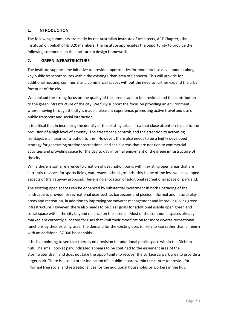# **1. INTRODUCTION**

The following comments are made by the Australian Institute of Architects, ACT Chapter, (the Institute) on behalf of its 320 members. The Institute appreciates the opportunity to provide the following comments on the draft urban design framework.

### **2. GREEN INFRASTRUCTURE**

The Institute supports the initiative to provide opportunities for more intense development along key public transport routes within the existing urban area of Canberra. This will provide for additional housing, communal and commercial spaces without the need to further expand the urban footprint of the city.

We applaud the strong focus on the quality of the streetscape to be provided and the contribution to the green infrastructure of the city. We fully support the focus on providing an environment where moving through the city is made a pleasant experience, promoting active travel and use of public transport and social interaction.

It is critical that in increasing the density of the existing urban area that close attention is paid to the provision of a high level of amenity. The streetscape controls and the attention to activating frontages is a major contribution to this. However, there also needs to be a highly developed strategy for generating outdoor recreational and social areas that are not tied to commercial activities and providing space for the day to day informal enjoyment of the green infrastructure of the city.

While there is some reference to creation of destination parks within existing open areas that are currently reserves for sports fields, waterways, school grounds, this is one of the less well developed aspects of the gateway proposal. There is no allocation of additional recreational space or parkland.

The existing open spaces can be enhanced by substantial investment in both upgrading of the landscape to provide for recreational uses such as barbecues and picnics, informal and natural play areas and recreation, in addition to improving stormwater management and improving living green infrastructure. However, there also needs to be clear goals for additional usable open green and social space within the city beyond reliance on the streets. Most of the communal spaces already marked are currently allocated for uses that limit their modification for more diverse recreational functions by their existing uses. The demand for the existing uses is likely to rise rather than diminish with an additional 37,000 households.

It is disappointing to see that there is no provision for additional public space within the Dickson hub. The small pocket park indicated appears to be confined to the easement area of the stormwater drain and does not take the opportunity to recover the surface carpark area to provide a larger park. There is also no other indication of a public square within the centre to provide for informal free social and recreational use for the additional households or workers in the hub.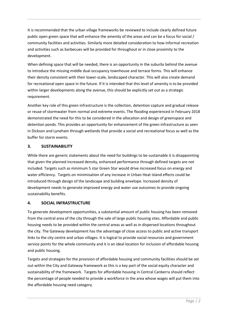It is recommended that the urban village frameworks be reviewed to include clearly defined future public open green space that will enhance the amenity of the areas and can be a focus for social / community facilities and activities. Similarly more detailed consideration to how informal recreation and activities such as barbecues will be provided for throughout or in close proximity to the development.

When defining space that will be needed, there is an opportunity in the suburbs behind the avenue to introduce the missing middle dual occupancy townhouse and terrace forms. This will enhance their density consistent with their lower-scale, landscaped character. This will also create demand for recreational open space in the future. If it is intended that this level of amenity is to be provided within larger developments along the avenue, this should be explicitly set out as a strategic requirement.

Another key role of this green infrastructure is the collection, detention capture and gradual release or reuse of stormwater from normal and extreme events. The flooding experienced in February 2018 demonstrated the need for this to be considered in the allocation and design of greenspace and detention ponds. This provides an opportunity for enhancement of the green infrastructure as seen in Dickson and Lyneham through wetlands that provide a social and recreational focus as well as the buffer for storm events.

## **3. SUSTAINABILITY**

While there are generic statements about the need for buildings to be sustainable it is disappointing that given the planned increased density, enhanced performance through defined targets are not included. Targets such as minimum 5 star Green Star would drive increased focus on energy and water efficiency. Targets on minimisation of any increase in Urban Heat Island effects could be introduced through design of the landscape and building envelope. Increased density of development needs to generate improved energy and water use outcomes to provide ongoing sustainability benefits.

## **4. SOCIAL INFRASTRUCTURE**

To generate development opportunities, a substantial amount of public housing has been removed from the central area of the city through the sale of large public housing sites. Affordable and public housing needs to be provided within the central areas as well as in dispersed locations throughout the city. The Gateway development has the advantage of close access to public and active transport links to the city centre and urban villages. It is logical to provide social resources and government service points for the whole community and it is an ideal location for inclusion of affordable housing and public housing.

Targets and strategies for the provision of affordable housing and community facilities should be set out within the City and Gateway framework as this is a key part of the social equity character and sustainability of the framework. Targets for affordable housing in Central Canberra should reflect the percentage of people needed to provide a workforce in the area whose wages will put them into the affordable housing need category.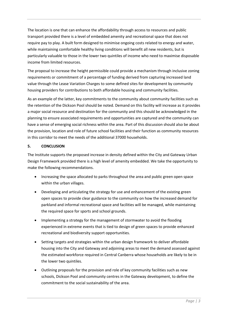The location is one that can enhance the affordability through access to resources and public transport provided there is a level of embedded amenity and recreational space that does not require pay to play. A built form designed to minimise ongoing costs related to energy and water, while maintaining comfortable healthy living conditions will benefit all new residents, but is particularly valuable to those in the lower two quintiles of income who need to maximise disposable income from limited resources.

The proposal to increase the height permissible could provide a mechanism through inclusive zoning requirements or commitment of a percentage of funding derived from capturing increased land value through the Lease Variation Charges to some defined sites for development by community housing providers for contributions to both affordable housing and community facilities.

As an example of the latter, key commitments to the community about community facilities such as the retention of the Dickson Pool should be noted. Demand on this facility will increase as it provides a major social resource and destination for the community and this should be acknowledged in the planning to ensure associated requirements and opportunities are captured and the community can have a sense of emerging social richness within the area. Part of this discussion should also be about the provision, location and role of future school facilities and their function as community resources in this corridor to meet the needs of the additional 37000 households.

### **5. CONCLUSION**

The Institute supports the proposed increase in density defined within the City and Gateway Urban Design Framework provided there is a high level of amenity embedded. We take the opportunity to make the following recommendations.

- Increasing the space allocated to parks throughout the area and public green open space within the urban villages.
- Developing and articulating the strategy for use and enhancement of the existing green open spaces to provide clear guidance to the community on how the increased demand for parkland and informal recreational space and facilities will be managed, while maintaining the required space for sports and school grounds.
- Implementing a strategy for the management of stormwater to avoid the flooding experienced in extreme events that is tied to design of green spaces to provide enhanced recreational and biodiversity support opportunities.
- Setting targets and strategies within the urban design framework to deliver affordable housing into the City and Gateway and adjoining areas to meet the demand assessed against the estimated workforce required in Central Canberra whose households are likely to be in the lower two quintiles.
- Outlining proposals for the provision and role of key community facilities such as new schools, Dickson Pool and community centres in the Gateway development, to define the commitment to the social sustainability of the area.